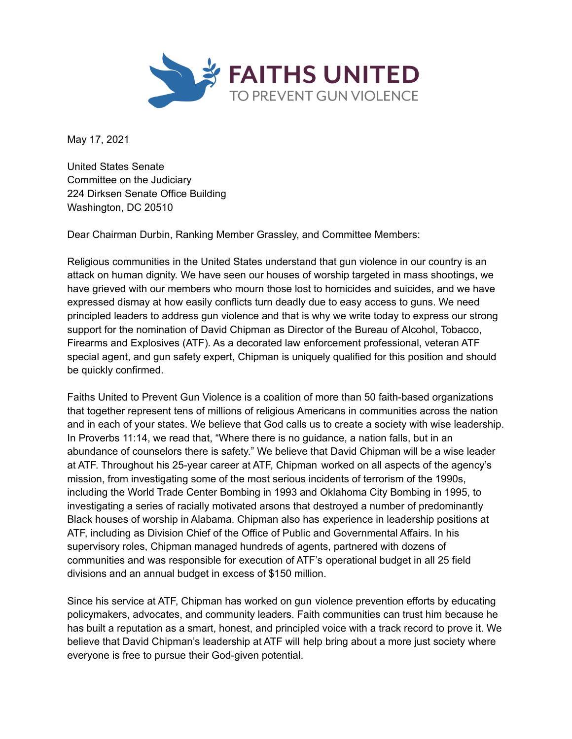

May 17, 2021

United States Senate Committee on the Judiciary 224 Dirksen Senate Office Building Washington, DC 20510

Dear Chairman Durbin, Ranking Member Grassley, and Committee Members:

Religious communities in the United States understand that gun violence in our country is an attack on human dignity. We have seen our houses of worship targeted in mass shootings, we have grieved with our members who mourn those lost to homicides and suicides, and we have expressed dismay at how easily conflicts turn deadly due to easy access to guns. We need principled leaders to address gun violence and that is why we write today to express our strong support for the nomination of David Chipman as Director of the Bureau of Alcohol, Tobacco, Firearms and Explosives (ATF). As a decorated law enforcement professional, veteran ATF special agent, and gun safety expert, Chipman is uniquely qualified for this position and should be quickly confirmed.

Faiths United to Prevent Gun Violence is a coalition of more than 50 faith-based organizations that together represent tens of millions of religious Americans in communities across the nation and in each of your states. We believe that God calls us to create a society with wise leadership. In Proverbs 11:14, we read that, "Where there is no guidance, a nation falls, but in an abundance of counselors there is safety." We believe that David Chipman will be a wise leader at ATF. Throughout his 25-year career at ATF, Chipman worked on all aspects of the agency's mission, from investigating some of the most serious incidents of terrorism of the 1990s, including the World Trade Center Bombing in 1993 and Oklahoma City Bombing in 1995, to investigating a series of racially motivated arsons that destroyed a number of predominantly Black houses of worship in Alabama. Chipman also has experience in leadership positions at ATF, including as Division Chief of the Office of Public and Governmental Affairs. In his supervisory roles, Chipman managed hundreds of agents, partnered with dozens of communities and was responsible for execution of ATF's operational budget in all 25 field divisions and an annual budget in excess of \$150 million.

Since his service at ATF, Chipman has worked on gun violence prevention efforts by educating policymakers, advocates, and community leaders. Faith communities can trust him because he has built a reputation as a smart, honest, and principled voice with a track record to prove it. We believe that David Chipman's leadership at ATF will help bring about a more just society where everyone is free to pursue their God-given potential.